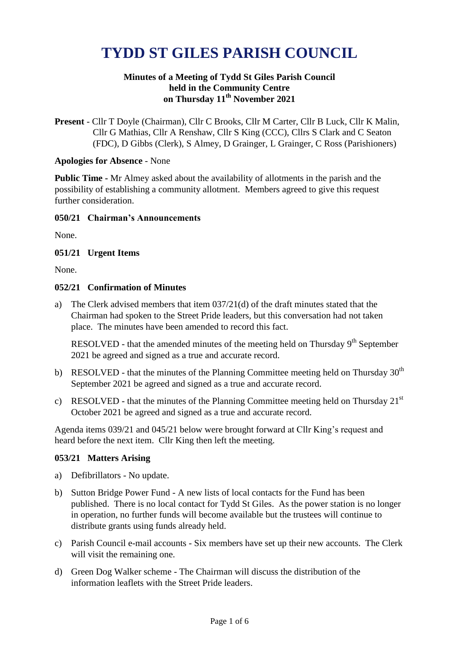# **TYDD ST GILES PARISH COUNCIL**

## **Minutes of a Meeting of Tydd St Giles Parish Council held in the Community Centre on Thursday 11th November 2021**

**Present** - Cllr T Doyle (Chairman), Cllr C Brooks, Cllr M Carter, Cllr B Luck, Cllr K Malin, Cllr G Mathias, Cllr A Renshaw, Cllr S King (CCC), Cllrs S Clark and C Seaton (FDC), D Gibbs (Clerk), S Almey, D Grainger, L Grainger, C Ross (Parishioners)

## **Apologies for Absence** - None

**Public Time -** Mr Almey asked about the availability of allotments in the parish and the possibility of establishing a community allotment. Members agreed to give this request further consideration.

## **050/21 Chairman's Announcements**

None.

## **051/21 Urgent Items**

None.

## **052/21 Confirmation of Minutes**

a) The Clerk advised members that item 037/21(d) of the draft minutes stated that the Chairman had spoken to the Street Pride leaders, but this conversation had not taken place. The minutes have been amended to record this fact.

RESOLVED - that the amended minutes of the meeting held on Thursday  $9<sup>th</sup>$  September 2021 be agreed and signed as a true and accurate record.

- b) RESOLVED that the minutes of the Planning Committee meeting held on Thursday  $30<sup>th</sup>$ September 2021 be agreed and signed as a true and accurate record.
- c) RESOLVED that the minutes of the Planning Committee meeting held on Thursday  $21^{st}$ October 2021 be agreed and signed as a true and accurate record.

Agenda items 039/21 and 045/21 below were brought forward at Cllr King's request and heard before the next item. Cllr King then left the meeting.

#### **053/21 Matters Arising**

- a) Defibrillators No update.
- b) Sutton Bridge Power Fund A new lists of local contacts for the Fund has been published. There is no local contact for Tydd St Giles. As the power station is no longer in operation, no further funds will become available but the trustees will continue to distribute grants using funds already held.
- c) Parish Council e-mail accounts Six members have set up their new accounts. The Clerk will visit the remaining one.
- d) Green Dog Walker scheme The Chairman will discuss the distribution of the information leaflets with the Street Pride leaders.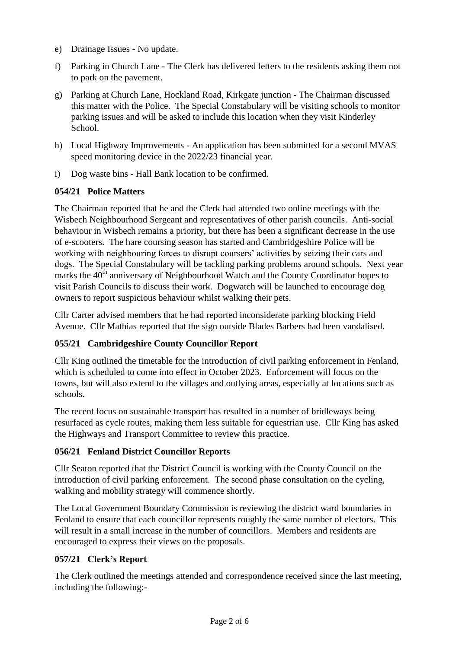- e) Drainage Issues No update.
- f) Parking in Church Lane The Clerk has delivered letters to the residents asking them not to park on the pavement.
- g) Parking at Church Lane, Hockland Road, Kirkgate junction The Chairman discussed this matter with the Police. The Special Constabulary will be visiting schools to monitor parking issues and will be asked to include this location when they visit Kinderley School.
- h) Local Highway Improvements An application has been submitted for a second MVAS speed monitoring device in the 2022/23 financial year.
- i) Dog waste bins Hall Bank location to be confirmed.

## **054/21 Police Matters**

The Chairman reported that he and the Clerk had attended two online meetings with the Wisbech Neighbourhood Sergeant and representatives of other parish councils. Anti-social behaviour in Wisbech remains a priority, but there has been a significant decrease in the use of e-scooters. The hare coursing season has started and Cambridgeshire Police will be working with neighbouring forces to disrupt coursers' activities by seizing their cars and dogs. The Special Constabulary will be tackling parking problems around schools. Next year marks the 40<sup>th</sup> anniversary of Neighbourhood Watch and the County Coordinator hopes to visit Parish Councils to discuss their work. Dogwatch will be launched to encourage dog owners to report suspicious behaviour whilst walking their pets.

Cllr Carter advised members that he had reported inconsiderate parking blocking Field Avenue. Cllr Mathias reported that the sign outside Blades Barbers had been vandalised.

# **055/21 Cambridgeshire County Councillor Report**

Cllr King outlined the timetable for the introduction of civil parking enforcement in Fenland, which is scheduled to come into effect in October 2023. Enforcement will focus on the towns, but will also extend to the villages and outlying areas, especially at locations such as schools.

The recent focus on sustainable transport has resulted in a number of bridleways being resurfaced as cycle routes, making them less suitable for equestrian use. Cllr King has asked the Highways and Transport Committee to review this practice.

## **056/21 Fenland District Councillor Reports**

Cllr Seaton reported that the District Council is working with the County Council on the introduction of civil parking enforcement. The second phase consultation on the cycling, walking and mobility strategy will commence shortly.

The Local Government Boundary Commission is reviewing the district ward boundaries in Fenland to ensure that each councillor represents roughly the same number of electors. This will result in a small increase in the number of councillors. Members and residents are encouraged to express their views on the proposals.

# **057/21 Clerk's Report**

The Clerk outlined the meetings attended and correspondence received since the last meeting, including the following:-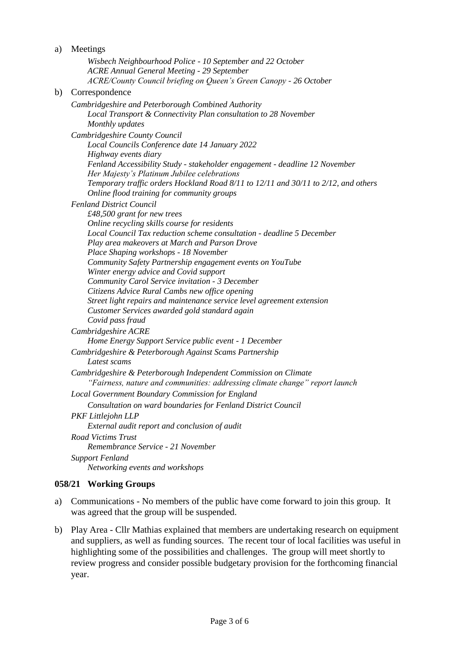| a) | Meetings                                                                                                                          |
|----|-----------------------------------------------------------------------------------------------------------------------------------|
|    | Wisbech Neighbourhood Police - 10 September and 22 October                                                                        |
|    | <b>ACRE Annual General Meeting - 29 September</b>                                                                                 |
|    | ACRE/County Council briefing on Queen's Green Canopy - 26 October                                                                 |
| b) | Correspondence                                                                                                                    |
|    | Cambridgeshire and Peterborough Combined Authority                                                                                |
|    | Local Transport & Connectivity Plan consultation to 28 November                                                                   |
|    | Monthly updates                                                                                                                   |
|    | Cambridgeshire County Council                                                                                                     |
|    | Local Councils Conference date 14 January 2022                                                                                    |
|    | Highway events diary                                                                                                              |
|    | Fenland Accessibility Study - stakeholder engagement - deadline 12 November                                                       |
|    | Her Majesty's Platinum Jubilee celebrations<br>Temporary traffic orders Hockland Road 8/11 to 12/11 and 30/11 to 2/12, and others |
|    | Online flood training for community groups                                                                                        |
|    | <b>Fenland District Council</b>                                                                                                   |
|    | £48,500 grant for new trees                                                                                                       |
|    | Online recycling skills course for residents                                                                                      |
|    | Local Council Tax reduction scheme consultation - deadline 5 December                                                             |
|    | Play area makeovers at March and Parson Drove                                                                                     |
|    | Place Shaping workshops - 18 November                                                                                             |
|    | Community Safety Partnership engagement events on YouTube                                                                         |
|    | Winter energy advice and Covid support                                                                                            |
|    | Community Carol Service invitation - 3 December                                                                                   |
|    | Citizens Advice Rural Cambs new office opening<br>Street light repairs and maintenance service level agreement extension          |
|    | Customer Services awarded gold standard again                                                                                     |
|    | Covid pass fraud                                                                                                                  |
|    | Cambridgeshire ACRE                                                                                                               |
|    | Home Energy Support Service public event - 1 December                                                                             |
|    | Cambridgeshire & Peterborough Against Scams Partnership                                                                           |
|    | Latest scams                                                                                                                      |
|    | Cambridgeshire & Peterborough Independent Commission on Climate                                                                   |
|    | "Fairness, nature and communities: addressing climate change" report launch                                                       |
|    | Local Government Boundary Commission for England                                                                                  |
|    | Consultation on ward boundaries for Fenland District Council                                                                      |
|    | PKF Littlejohn LLP                                                                                                                |
|    | External audit report and conclusion of audit                                                                                     |
|    | <b>Road Victims Trust</b>                                                                                                         |
|    | Remembrance Service - 21 November                                                                                                 |
|    | <b>Support Fenland</b>                                                                                                            |
|    | Networking events and workshops                                                                                                   |

# **058/21 Working Groups**

- a) Communications No members of the public have come forward to join this group. It was agreed that the group will be suspended.
- b) Play Area Cllr Mathias explained that members are undertaking research on equipment and suppliers, as well as funding sources. The recent tour of local facilities was useful in highlighting some of the possibilities and challenges. The group will meet shortly to review progress and consider possible budgetary provision for the forthcoming financial year.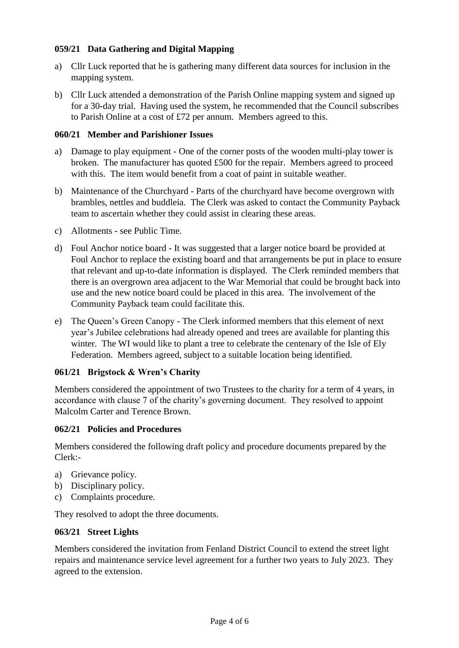## **059/21 Data Gathering and Digital Mapping**

- a) Cllr Luck reported that he is gathering many different data sources for inclusion in the mapping system.
- b) Cllr Luck attended a demonstration of the Parish Online mapping system and signed up for a 30-day trial. Having used the system, he recommended that the Council subscribes to Parish Online at a cost of £72 per annum. Members agreed to this.

## **060/21 Member and Parishioner Issues**

- a) Damage to play equipment One of the corner posts of the wooden multi-play tower is broken. The manufacturer has quoted £500 for the repair. Members agreed to proceed with this. The item would benefit from a coat of paint in suitable weather.
- b) Maintenance of the Churchyard Parts of the churchyard have become overgrown with brambles, nettles and buddleia. The Clerk was asked to contact the Community Payback team to ascertain whether they could assist in clearing these areas.
- c) Allotments see Public Time.
- d) Foul Anchor notice board It was suggested that a larger notice board be provided at Foul Anchor to replace the existing board and that arrangements be put in place to ensure that relevant and up-to-date information is displayed. The Clerk reminded members that there is an overgrown area adjacent to the War Memorial that could be brought back into use and the new notice board could be placed in this area. The involvement of the Community Payback team could facilitate this.
- e) The Queen's Green Canopy The Clerk informed members that this element of next year's Jubilee celebrations had already opened and trees are available for planting this winter. The WI would like to plant a tree to celebrate the centenary of the Isle of Ely Federation. Members agreed, subject to a suitable location being identified.

## **061/21 Brigstock & Wren's Charity**

Members considered the appointment of two Trustees to the charity for a term of 4 years, in accordance with clause 7 of the charity's governing document. They resolved to appoint Malcolm Carter and Terence Brown.

#### **062/21 Policies and Procedures**

Members considered the following draft policy and procedure documents prepared by the Clerk:-

- a) Grievance policy.
- b) Disciplinary policy.
- c) Complaints procedure.

They resolved to adopt the three documents.

#### **063/21 Street Lights**

Members considered the invitation from Fenland District Council to extend the street light repairs and maintenance service level agreement for a further two years to July 2023. They agreed to the extension.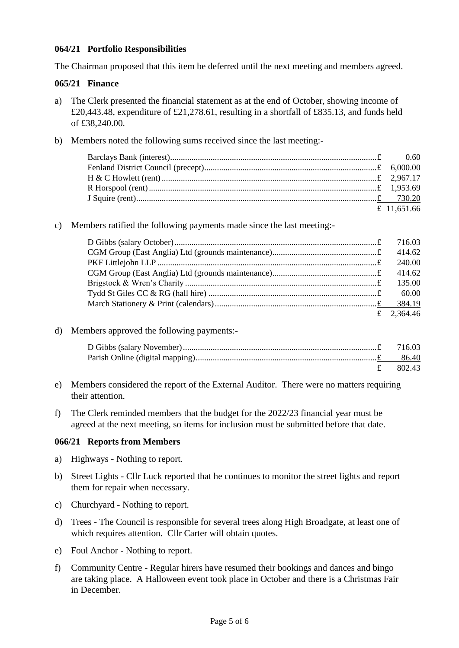## **064/21 Portfolio Responsibilities**

The Chairman proposed that this item be deferred until the next meeting and members agreed.

## **065/21 Finance**

- a) The Clerk presented the financial statement as at the end of October, showing income of £20,443.48, expenditure of £21,278.61, resulting in a shortfall of £835.13, and funds held of £38,240.00.
- b) Members noted the following sums received since the last meeting:-

| £ 11.651.66 |  |
|-------------|--|

c) Members ratified the following payments made since the last meeting:-

| 414.62     |
|------------|
| 240.00     |
| 414.62     |
| 135.00     |
| 60.00      |
|            |
| £ 2.364.46 |

#### d) Members approved the following payments:-

| £ 802.43 |
|----------|

- e) Members considered the report of the External Auditor. There were no matters requiring their attention.
- f) The Clerk reminded members that the budget for the 2022/23 financial year must be agreed at the next meeting, so items for inclusion must be submitted before that date.

#### **066/21 Reports from Members**

- a) Highways Nothing to report.
- b) Street Lights Cllr Luck reported that he continues to monitor the street lights and report them for repair when necessary.
- c) Churchyard Nothing to report.
- d) Trees The Council is responsible for several trees along High Broadgate, at least one of which requires attention. Cllr Carter will obtain quotes.
- e) Foul Anchor Nothing to report.
- f) Community Centre Regular hirers have resumed their bookings and dances and bingo are taking place. A Halloween event took place in October and there is a Christmas Fair in December.